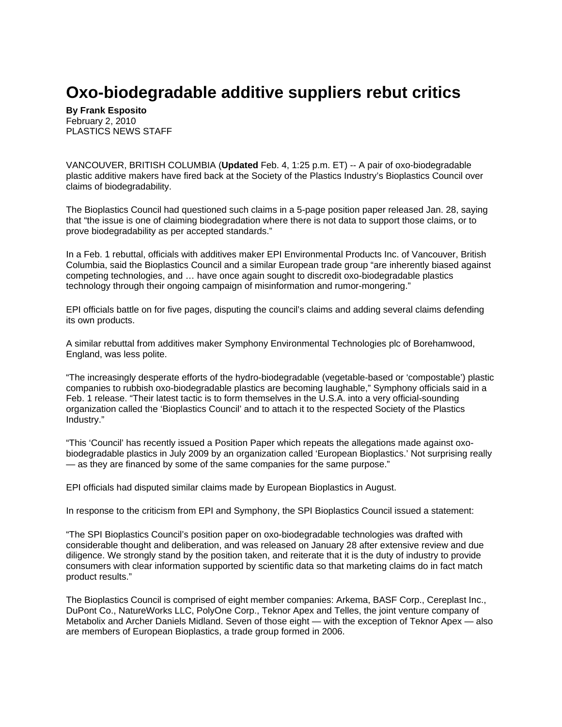## **Oxo-biodegradable additive suppliers rebut critics**

**By Frank Esposito** February 2, 2010 PLASTICS NEWS STAFF

VANCOUVER, BRITISH COLUMBIA (**Updated** Feb. 4, 1:25 p.m. ET) -- A pair of oxo-biodegradable plastic additive makers have fired back at the Society of the Plastics Industry's Bioplastics Council over claims of biodegradability.

The Bioplastics Council had questioned such claims in a 5-page position paper released Jan. 28, saying that "the issue is one of claiming biodegradation where there is not data to support those claims, or to prove biodegradability as per accepted standards."

In a Feb. 1 rebuttal, officials with additives maker EPI Environmental Products Inc. of Vancouver, British Columbia, said the Bioplastics Council and a similar European trade group "are inherently biased against competing technologies, and … have once again sought to discredit oxo-biodegradable plastics technology through their ongoing campaign of misinformation and rumor-mongering."

EPI officials battle on for five pages, disputing the council's claims and adding several claims defending its own products.

A similar rebuttal from additives maker Symphony Environmental Technologies plc of Borehamwood, England, was less polite.

"The increasingly desperate efforts of the hydro-biodegradable (vegetable-based or 'compostable') plastic companies to rubbish oxo-biodegradable plastics are becoming laughable," Symphony officials said in a Feb. 1 release. "Their latest tactic is to form themselves in the U.S.A. into a very official-sounding organization called the 'Bioplastics Council' and to attach it to the respected Society of the Plastics Industry."

"This 'Council' has recently issued a Position Paper which repeats the allegations made against oxobiodegradable plastics in July 2009 by an organization called 'European Bioplastics.' Not surprising really — as they are financed by some of the same companies for the same purpose."

EPI officials had disputed similar claims made by European Bioplastics in August.

In response to the criticism from EPI and Symphony, the SPI Bioplastics Council issued a statement:

"The SPI Bioplastics Council's position paper on oxo-biodegradable technologies was drafted with considerable thought and deliberation, and was released on January 28 after extensive review and due diligence. We strongly stand by the position taken, and reiterate that it is the duty of industry to provide consumers with clear information supported by scientific data so that marketing claims do in fact match product results."

The Bioplastics Council is comprised of eight member companies: Arkema, BASF Corp., Cereplast Inc., DuPont Co., NatureWorks LLC, PolyOne Corp., Teknor Apex and Telles, the joint venture company of Metabolix and Archer Daniels Midland. Seven of those eight — with the exception of Teknor Apex — also are members of European Bioplastics, a trade group formed in 2006.